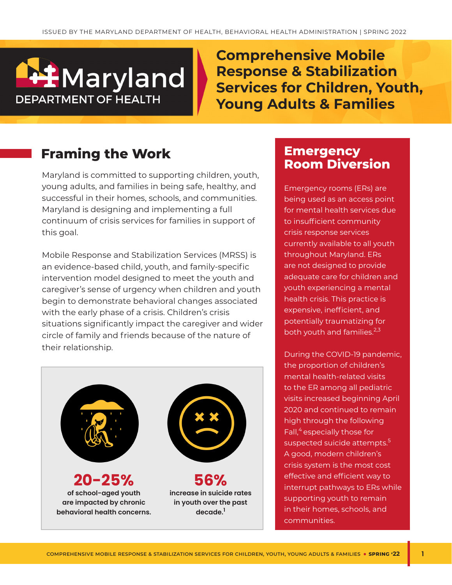# **I**Maryland **DEPARTMENT OF HEALTH**

**Comprehensive Mobile Response & Stabilization Services for Children, Youth, Young Adults & Families**

## **Framing the Work**

Maryland is committed to supporting children, youth, young adults, and families in being safe, healthy, and successful in their homes, schools, and communities. Maryland is designing and implementing a full continuum of crisis services for families in support of this goal.

Mobile Response and Stabilization Services (MRSS) is an evidence-based child, youth, and family-specific intervention model designed to meet the youth and caregiver's sense of urgency when children and youth begin to demonstrate behavioral changes associated with the early phase of a crisis. Children's crisis situations significantly impact the caregiver and wider circle of family and friends because of the nature of their relationship.



### **Emergency Room Diversion**

Emergency rooms (ERs) are being used as an access point for mental health services due to insufficient community crisis response services currently available to all youth throughout Maryland. ERs are not designed to provide adequate care for children and youth experiencing a mental health crisis. This practice is expensive, inefficient, and potentially traumatizing for both youth and families.<sup>2,3</sup>

During the COVID-19 pandemic, the proportion of children's mental health-related visits to the ER among all pediatric visits increased beginning April 2020 and continued to remain high through the following Fall,<sup>4</sup> especially those for suspected suicide attempts.<sup>5</sup> A good, modern children's crisis system is the most cost effective and efficient way to interrupt pathways to ERs while supporting youth to remain in their homes, schools, and communities.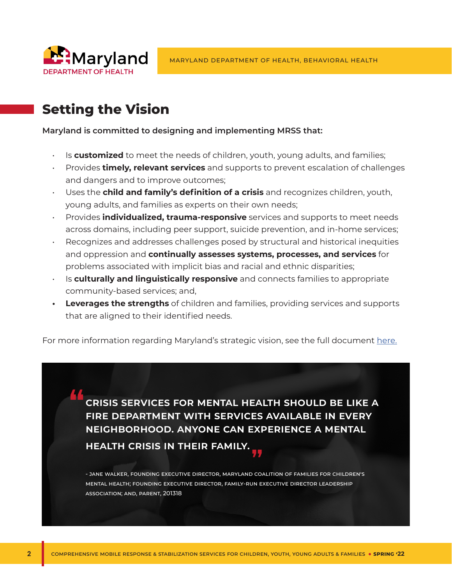

# **Setting the Vision**

#### **Maryland is committed to designing and implementing MRSS that:**

- Is **customized** to meet the needs of children, youth, young adults, and families;
- Provides **timely, relevant services** and supports to prevent escalation of challenges and dangers and to improve outcomes;
- Uses the **child and family's definition of a crisis** and recognizes children, youth, young adults, and families as experts on their own needs;
- Provides **individualized, trauma-responsive** services and supports to meet needs across domains, including peer support, suicide prevention, and in-home services;
- Recognizes and addresses challenges posed by structural and historical inequities and oppression and **continually assesses systems, processes, and services** for problems associated with implicit bias and racial and ethnic disparities;
- Is **culturally and linguistically responsive** and connects families to appropriate community-based services; and,
- **• Leverages the strengths** of children and families, providing services and supports that are aligned to their identified needs.

For more information regarding Maryland's strategic vision, see the full document [here.](https://health.maryland.gov/bha/Documents/BHA_MRSS_StrategicVision_Fall2021.pdf)

**crisis services for mental health should be like a fire department with services available in every neighborhood. anyone can experience a mental health crisis in their family.**

- Jane Walker, Founding Executive Director, Maryland Coalition of Families for Children's Mental Health; Founding Executive Director, Family-Run Executive Director Leadership Association; and, Parent, 201318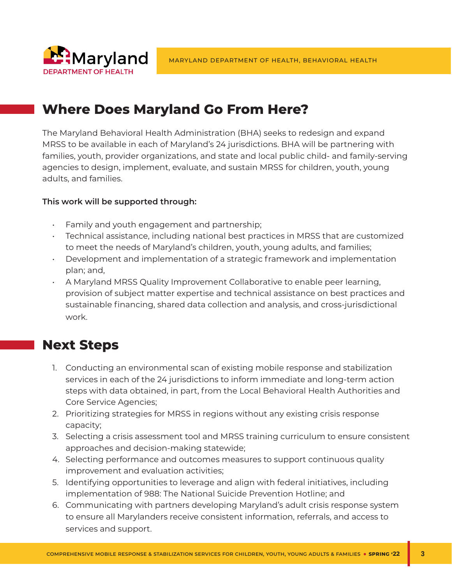

### **Where Does Maryland Go From Here?**

The Maryland Behavioral Health Administration (BHA) seeks to redesign and expand MRSS to be available in each of Maryland's 24 jurisdictions. BHA will be partnering with families, youth, provider organizations, and state and local public child- and family-serving agencies to design, implement, evaluate, and sustain MRSS for children, youth, young adults, and families.

#### **This work will be supported through:**

- Family and youth engagement and partnership;
- Technical assistance, including national best practices in MRSS that are customized to meet the needs of Maryland's children, youth, young adults, and families;
- Development and implementation of a strategic framework and implementation plan; and,
- A Maryland MRSS Quality Improvement Collaborative to enable peer learning, provision of subject matter expertise and technical assistance on best practices and sustainable financing, shared data collection and analysis, and cross-jurisdictional work.

### **Next Steps**

- 1. Conducting an environmental scan of existing mobile response and stabilization services in each of the 24 jurisdictions to inform immediate and long-term action steps with data obtained, in part, from the Local Behavioral Health Authorities and Core Service Agencies;
- 2. Prioritizing strategies for MRSS in regions without any existing crisis response capacity;
- 3. Selecting a crisis assessment tool and MRSS training curriculum to ensure consistent approaches and decision-making statewide;
- 4. Selecting performance and outcomes measures to support continuous quality improvement and evaluation activities;
- 5. Identifying opportunities to leverage and align with federal initiatives, including implementation of 988: The National Suicide Prevention Hotline; and
- 6. Communicating with partners developing Maryland's adult crisis response system to ensure all Marylanders receive consistent information, referrals, and access to services and support.